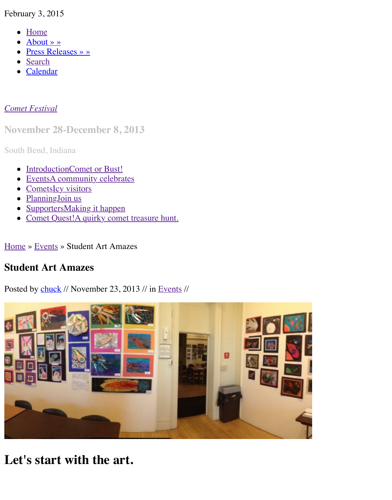Calendar  $\bullet$ 

## *Come[t Festival](http://www.cometfestival.com/index.php/about/)*

**Nov[ember](http://www.cometfestival.com/index.php/search/) [2](http://www.cometfestival.com/index.php/calendar/)8-December 8, 2013**

South Bend, Indiana

- IntroductionComet or Bust!
- [EventsA](http://www.cometfestival.com/) community celebrates
- CometsIcy visitors
- PlanningJoin us
- SupportersMaking it happen
- Comet Quest!A quirky comet treasure hunt.

Home » Events [» Student Art Amazes](http://www.cometfestival.com/index.php/events/)

## **Stud[ent Art Ama](http://www.cometfestival.com/index.php/planning/)[zes](http://www.cometfestival.com/index.php/supporters/)**

Posted by chuck [// November 23, 2013 // in Events](http://www.cometfestival.com/index.php/quest2/) //



**[Let's start with the art.](http://www.cometfestival.com/files/6413/8518/6811/Colfax_4221-horiz.JPG)**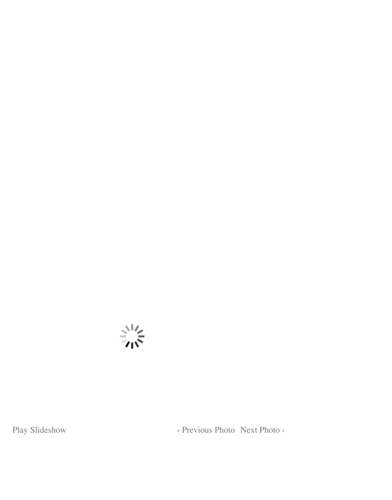

Play Slideshow <br> < Previous Photo Next Photo >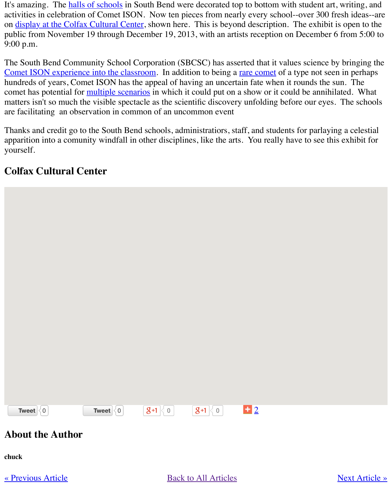Comet ISON exp[erience into the c](http://www.cometfestival.com/index.php/events/one-schools-hallways/)lassroom. In addition to being a rare comet of a type not see hundreds of years, Comet ISON has the appeal of having an uncertain fate when it rounds the co[met has potential for multiple scenario](http://sbheritage.org/learn-discover/colfax-campus-gallery/)s in which it could put on a show or it could be annihilated. matters isn't so much the visible spectacle as the scientific discovery unfolding before our eyes. are facilitating an observation in common of an uncommon event

Thanks and credit go to the South Bend schools, administratiors, staff, and students for parlaying a celestial [apparition into a comunity windfall in other](http://www.cometfestival.com/index.php/events/comets-schools/) disciplines, like the art[s. You real](http://www.isoncampaign.org/mmk/how-unique-is-ISON)ly have to see the yourself.

## **Colfax Cultural Center**



## **About the Author**

**chuck**

[« Previou](https://twitter.com/intent/tweet?text=Comet%20Festival%20%3A%3A%20Comet%20Festival%20Art%20Exhibit%3A&tw_p=tweetbutton&url=http%3A%2F%2Fwww.cometfestival.com%2Findex.php%2Fevents%2Fcomet-festival-art-exhibit%2F%23.VNB_kW3jI0A.twitter)[s A](http://twitter.com/search?q=http%3A%2F%2Fwww.cometfestival.com%2Findex.php%2Fevents%2Fcomet-festival-art-exhibit%2F)rticle » Back to All Articles